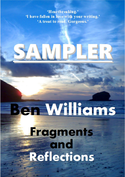'Heartbreaking.' 'I have fallen in love with your writing.' 'A treat to read. Gorgeous.'

# IVI

## **Ben Williams**

## Fragments<br>and **Reflections**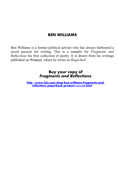#### **BEN WILLIAMS**

Ben Williams is a former political adviser who has always harboured a secret passion for writing. This is a sampler for *Fragments and Reflections* his first collection of poetry. It is drawn from his writings published on Wattpad, where he writes as *Requi3mX*.

#### **Buy your copy of Fragments and Reflections:**

**[http://www.lulu.com/shop/ben-williams/fragments-and](http://www.lulu.com/shop/ben-williams/fragments-and-reflections/paperback/product-22225509.html)[reflections/paperback/product-22225509.html](http://www.lulu.com/shop/ben-williams/fragments-and-reflections/paperback/product-22225509.html)**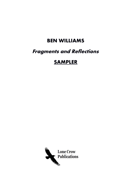### **BEN WILLIAMS**

## **Fragments and Reflections**

## **SAMPLER**

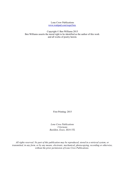Lone Crow Publications [www.wattpad.com/requi3mx](http://www.wattpad.com/requi3mx)

Copyright © Ben Williams 2015 Ben Williams asserts the moral right to be identified as the author of this work and all works of poetry herein.

First Printing: 2015

*Lone Crow Publications 3 Gernons Basildon, Essex, SS16 5TL*

*All rights reserved. No part of this publication may be reproduced, stored in a retrieval system, or transmitted, in any form, or by any means, electronic, mechanical, photocopying, recording or otherwise, without the prior permission of Lone Crow Publications.*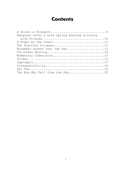### **Contents**

| Hangover after a Late Spring Evening Drinking |
|-----------------------------------------------|
|                                               |
| A Night by the Ocean11                        |
| The Previous Occupant12                       |
| November Sunset over the Fen13                |
| Christmas Morning14                           |
| Momentary Indecision15                        |
|                                               |
|                                               |
| Irresponsibility18                            |
|                                               |
| The Boy Who Fell from the Sky20               |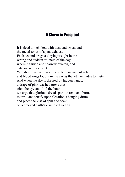#### A Storm in Prospect

It is dead air, choked with dust and sweat and the metal tones of spent exhaust. Each second drags a cloying weight in the wrong and sudden stillness of the day, wherein thrush and sparrow quieten, and cats are safely absent. We labour on each breath, and feel an ancient ache, and blood rings loudly in the ear as the jet roar fades to mute. And when the sky is dressed by hidden hands, a drape of pink-washed greys that trick the eye and fool the hour, we urge that glorious dread spark to rend and burn, to thrill and terrify upon Creation's banging drum, and place the kiss of spill and soak on a cracked earth's crumbled wealth.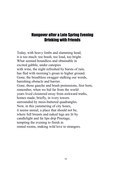#### Hangover after a Late Spring Evening Drinking with Friends

Today, with heavy limbs and slamming head, it is too much: too brash, too loud, too bright. What seemed boundless and obtainable in excited gabble, under canopies with wine, the night refreshed by bursts of rain, has fled with morning's groan to higher ground. Gone, the breathless swagger stalking our words, banishing obstacle and barrier. Gone, those gauche and brash pretensions, first born, remember, when we hid far from the world: years lived cloistered away from awkward truths, homes made, briefly, in ivory towers surrounded by moss-buttered quadrangles. Now, in this yammering of city hours, it seems unreal, a place that should not be, where full breasts and naked legs are lit by candlelight and fat lips drip Pinotage, tempting the evening to finish in rented rooms, making wild love to strangers.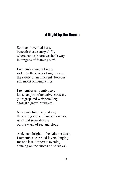#### A Night by the Ocean

So much love fled here, beneath these sentry cliffs, where centuries are washed away in tongues of foaming surf.

I remember young kisses, stolen in the crook of night's arm, the safety of an innocent 'Forever' still moist on hungry lips.

I remember soft embraces, loose tangles of tentative caresses, your gasp and whispered cry against a growl of waves.

Now, watching here, alone, the rusting stripe of sunset's wreck is all that separates the purple wash of sea and cloud.

And, stars bright in the Atlantic dusk, I remember tear-bled lovers longing for one last, desperate evening, dancing on the shores of 'Always'.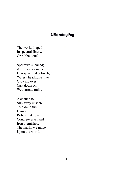#### A Morning Fog

The world draped In spectral finery, Or rubbed out?

Sparrows silenced; A still spider in its Dew-jewelled cobweb; Watery headlights like Glowing eyes, Cast down on Wet tarmac trails.

A chance to Slip away unseen, To hide in the Damp folds of Robes that cover Concrete scars and Iron blemishes: The marks we make Upon the world.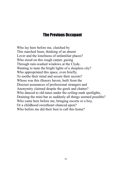#### The Previous Occupant

Who lay here before me, clutched by This starched linen, thinking of an absent Lover and the loneliness of unfamiliar places? Who stood on this rough carpet, gazing Through rain-washed windows at the Clyde, Wanting to taste the bright lights of a sleepless city? Who appropriated this space, even briefly, To soothe their mind and secure their secrets? Whose was this illusory haven, built from the Discreet assurances of professional strangers and Anonymity claimed despite the gawk and chatter? Who danced to old tunes under the ceiling-sunk spotlights, Draining the mini-bar as suddenly all things seemed possible? Who came here before me, bringing escorts or a boy, Or a childhood sweetheart chanced upon? Who before me did their best to call this home?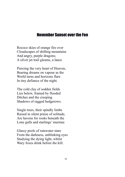#### November Sunset over the Fen

Rococo skies of orange fire over Cloudscapes of shifting mountains And angry, purple dragons; A silver jet trail gleams, a lance

Piercing the very heart of Heaven, Bearing dreams on vapour as the World turns and horizons flare In tiny defiance of the night.

The cold clay of sodden fields Lies below, framed by flooded Ditches and the creeping Shadows of ragged hedgerows.

Single trees, their spindly limbs Raised in silent praise of solitude, Are havens for rooks beneath the Lone gulls and starlings' murmur.

Glassy pools of rainwater stare From the darkness, unblinking eyes Studying the dying light, whilst Wary foxes drink before the kill.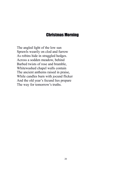#### Christmas Morning

The angled light of the low sun Sprawls wearily on clod and furrow As robins hide in straggled hedges. Across a sodden meadow, behind Barbed twists of rose and bramble, Whitewashed chapel walls contain The ancient anthems raised in praise, While candles burn with jocund flicker And the old year's fecund lies prepare The way for tomorrow's truths.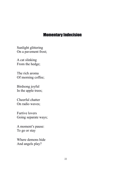#### Momentary Indecision

Sunlight glittering On a pavement frost;

A cat slinking From the hedge;

The rich aroma Of morning coffee;

Birdsong joyful In the apple trees;

Cheerful chatter On radio waves;

Furtive lovers Going separate ways;

A moment's pause: To go or stay

Where demons hide And angels play?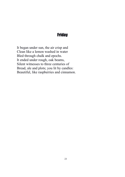#### **Friday**

It began under sun, the air crisp and Clean like a lemon washed in water Bled through chalk and epochs. It ended under rough, oak beams, Silent witnesses to three centuries of Bread, ale and plots; you lit by candles: Beautiful, like raspberries and cinnamon.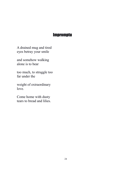#### Impromptu

A drained mug and tired eyes betray your smile

and somehow walking alone is to bear

too much, to struggle too far under the

weight of extraordinary love.

Come home with dusty tears to bread and lilies.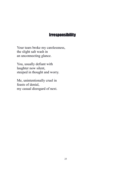#### **Irresponsibility**

Your tears broke my carelessness, the slight salt wash in an unconnecting glance.

You, usually defiant with laughter now silent, steeped in thought and worry.

Me, unintentionally cruel in feasts of denial, my casual disregard of next.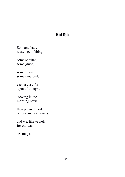#### Hat Tea

So many hats, weaving, bobbing,

some stitched, some glued,

some sewn, some moulded,

each a cosy for a pot of thoughts

stewing in the morning brew,

then pressed hard on pavement strainers,

and we, like vessels for our tea,

are mugs.